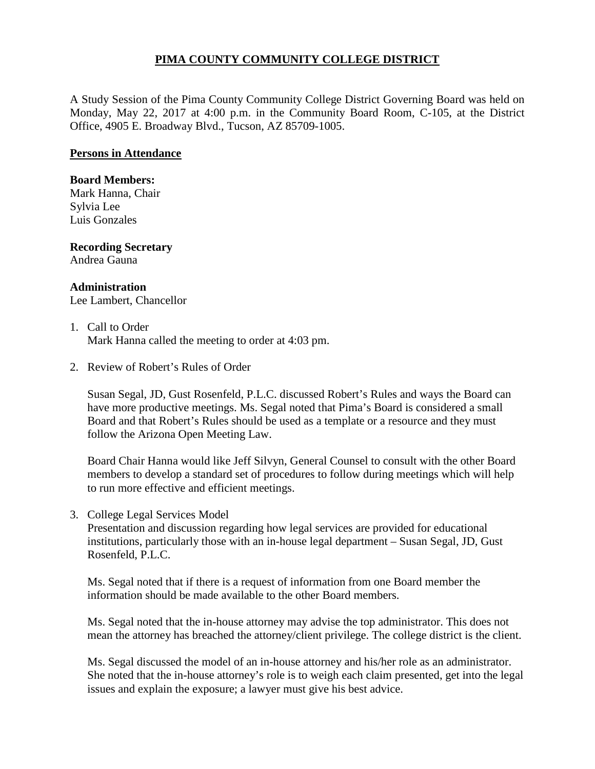## **PIMA COUNTY COMMUNITY COLLEGE DISTRICT**

A Study Session of the Pima County Community College District Governing Board was held on Monday, May 22, 2017 at 4:00 p.m. in the Community Board Room, C-105, at the District Office, 4905 E. Broadway Blvd., Tucson, AZ 85709-1005.

### **Persons in Attendance**

#### **Board Members:**

Mark Hanna, Chair Sylvia Lee Luis Gonzales

# **Recording Secretary**

Andrea Gauna

### **Administration**

Lee Lambert, Chancellor

### 1. Call to Order Mark Hanna called the meeting to order at 4:03 pm.

2. Review of Robert's Rules of Order

Susan Segal, JD, Gust Rosenfeld, P.L.C. discussed Robert's Rules and ways the Board can have more productive meetings. Ms. Segal noted that Pima's Board is considered a small Board and that Robert's Rules should be used as a template or a resource and they must follow the Arizona Open Meeting Law.

Board Chair Hanna would like Jeff Silvyn, General Counsel to consult with the other Board members to develop a standard set of procedures to follow during meetings which will help to run more effective and efficient meetings.

3. College Legal Services Model

Presentation and discussion regarding how legal services are provided for educational institutions, particularly those with an in-house legal department – Susan Segal, JD, Gust Rosenfeld, P.L.C.

Ms. Segal noted that if there is a request of information from one Board member the information should be made available to the other Board members.

Ms. Segal noted that the in-house attorney may advise the top administrator. This does not mean the attorney has breached the attorney/client privilege. The college district is the client.

Ms. Segal discussed the model of an in-house attorney and his/her role as an administrator. She noted that the in-house attorney's role is to weigh each claim presented, get into the legal issues and explain the exposure; a lawyer must give his best advice.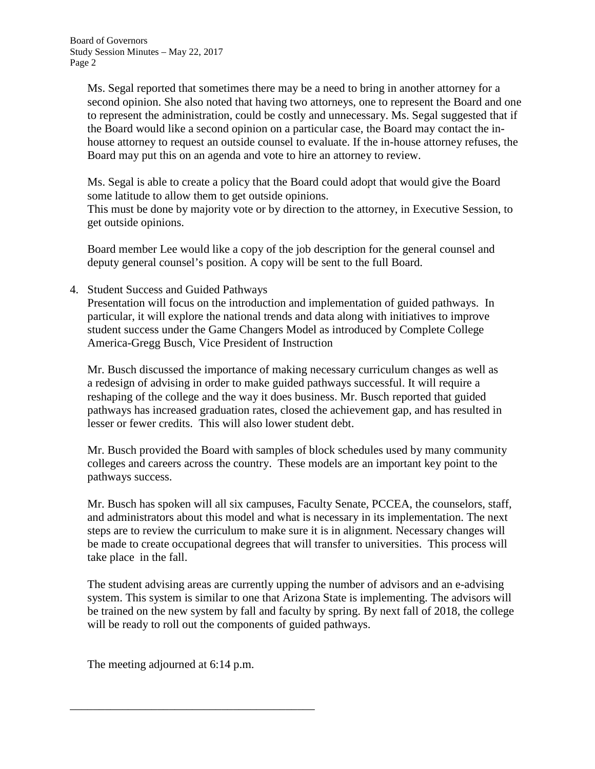Ms. Segal reported that sometimes there may be a need to bring in another attorney for a second opinion. She also noted that having two attorneys, one to represent the Board and one to represent the administration, could be costly and unnecessary. Ms. Segal suggested that if the Board would like a second opinion on a particular case, the Board may contact the inhouse attorney to request an outside counsel to evaluate. If the in-house attorney refuses, the Board may put this on an agenda and vote to hire an attorney to review.

Ms. Segal is able to create a policy that the Board could adopt that would give the Board some latitude to allow them to get outside opinions. This must be done by majority vote or by direction to the attorney, in Executive Session, to get outside opinions.

Board member Lee would like a copy of the job description for the general counsel and deputy general counsel's position. A copy will be sent to the full Board.

4. Student Success and Guided Pathways

Presentation will focus on the introduction and implementation of guided pathways. In particular, it will explore the national trends and data along with initiatives to improve student success under the Game Changers Model as introduced by Complete College America-Gregg Busch, Vice President of Instruction

Mr. Busch discussed the importance of making necessary curriculum changes as well as a redesign of advising in order to make guided pathways successful. It will require a reshaping of the college and the way it does business. Mr. Busch reported that guided pathways has increased graduation rates, closed the achievement gap, and has resulted in lesser or fewer credits. This will also lower student debt.

Mr. Busch provided the Board with samples of block schedules used by many community colleges and careers across the country. These models are an important key point to the pathways success.

Mr. Busch has spoken will all six campuses, Faculty Senate, PCCEA, the counselors, staff, and administrators about this model and what is necessary in its implementation. The next steps are to review the curriculum to make sure it is in alignment. Necessary changes will be made to create occupational degrees that will transfer to universities. This process will take place in the fall.

The student advising areas are currently upping the number of advisors and an e-advising system. This system is similar to one that Arizona State is implementing. The advisors will be trained on the new system by fall and faculty by spring. By next fall of 2018, the college will be ready to roll out the components of guided pathways.

The meeting adjourned at 6:14 p.m.

\_\_\_\_\_\_\_\_\_\_\_\_\_\_\_\_\_\_\_\_\_\_\_\_\_\_\_\_\_\_\_\_\_\_\_\_\_\_\_\_\_\_